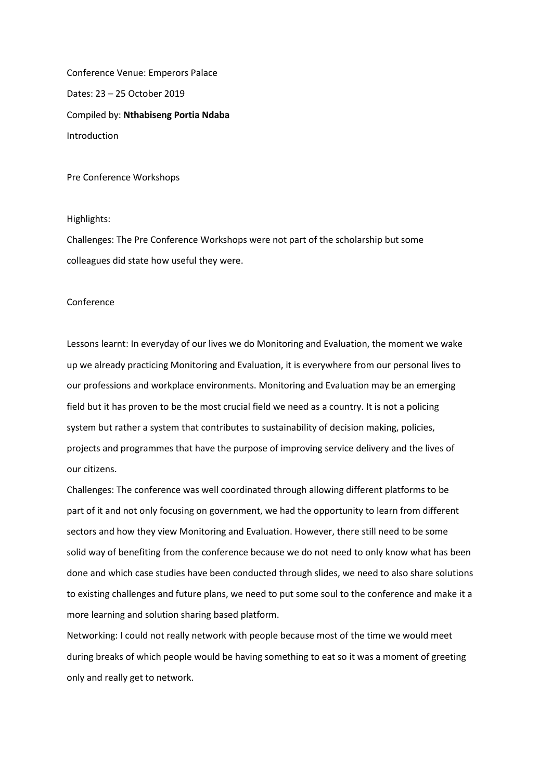Conference Venue: Emperors Palace Dates: 23 – 25 October 2019 Compiled by: **Nthabiseng Portia Ndaba** Introduction

Pre Conference Workshops

## Highlights:

Challenges: The Pre Conference Workshops were not part of the scholarship but some colleagues did state how useful they were.

## Conference

Lessons learnt: In everyday of our lives we do Monitoring and Evaluation, the moment we wake up we already practicing Monitoring and Evaluation, it is everywhere from our personal lives to our professions and workplace environments. Monitoring and Evaluation may be an emerging field but it has proven to be the most crucial field we need as a country. It is not a policing system but rather a system that contributes to sustainability of decision making, policies, projects and programmes that have the purpose of improving service delivery and the lives of our citizens.

Challenges: The conference was well coordinated through allowing different platforms to be part of it and not only focusing on government, we had the opportunity to learn from different sectors and how they view Monitoring and Evaluation. However, there still need to be some solid way of benefiting from the conference because we do not need to only know what has been done and which case studies have been conducted through slides, we need to also share solutions to existing challenges and future plans, we need to put some soul to the conference and make it a more learning and solution sharing based platform.

Networking: I could not really network with people because most of the time we would meet during breaks of which people would be having something to eat so it was a moment of greeting only and really get to network.